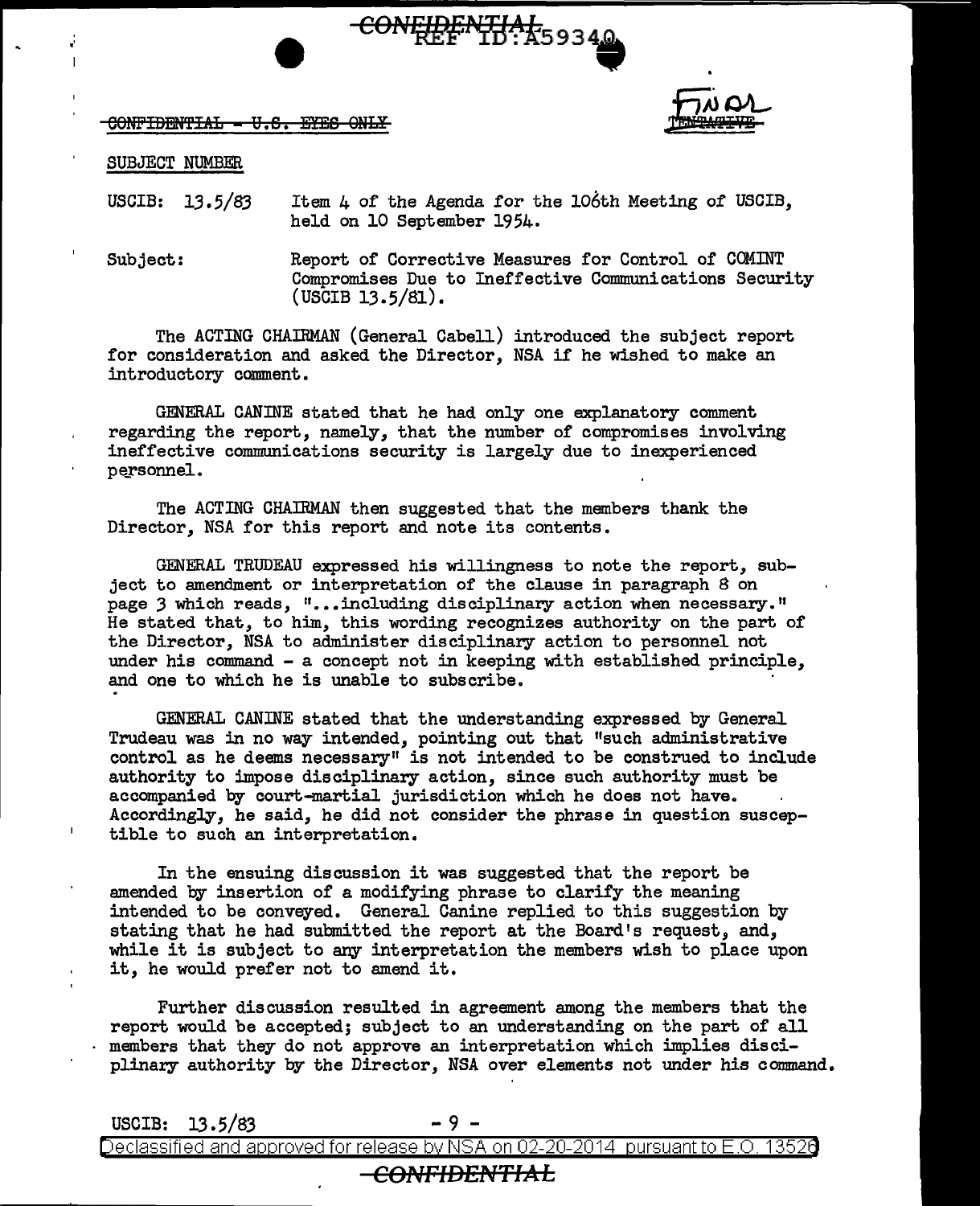## $COMF$ IBENTIAL =  $U.S.$  EYES ONLY



SUBJECT NUMBER

•'

USCIB:  $13.5/83$ Item 4 of the Agenda for the 106th Meeting of USCIB, held on 10 September 1954.

CONFIDENTIAL 59340

Subject: Report of Corrective Measures for Control of COMINT Compromises Due to Ineffective Communications Security  $($  USCIB  $13.5/81$ ).

The ACTING CHAIRMAN (General Cabell) introduced the subject report for consideration and asked the Director, NSA if he wished to make an introductory comment.

GENERAL CANINE stated that he had only one explanatory comment regarding the report, namely, that the number of compromises involving ineffective communications security is largely due to inexperienced personnel.

The ACTING CHAIRMAN then suggested that the members thank the Director, NSA for this report and note its contents.

GENERAL TRUDEAU expressed his willingness to note the report, subject to amendment or interpretation of the clause in paragraph 8 on page 3 which reads, "...including disciplinary action when necessary." He stated that, to him, this wording recognizes authority on the part of the Director, NSA to administer disciplinary action to personnel not under his command - a concept not in keeping with established principle, and one to which he is unable to subscribe.

GENERAL CANINE stated that the understanding expressed by General Trudeau was in no way intended, pointing out that "such administrative control as he deems necessary" is not intended to be construed to include authority to impose disciplinary action, since such authority must be accompanied by court-martial jurisdiction which he does not have. Accordingly, he said, he did not consider the phrase in question susceptible to such an interpretation.

In the ensuing discussion it was suggested that the report be amended by insertion of a modifying phrase to clarify the meaning intended to be conveyed. General Canine replied to this suggestion by stating that he had submitted the report at the Board's request, and, while it is subject to any interpretation the members wish to place upon it, he would prefer not to amend it.

Further discussion resulted in agreement among the members that the report would be accepted; subject to an understanding on the part of all members that they do not approve an interpretation which implies disciplinary authority by the Director, NSA over elements not under his command.

 $USCIB: 13.5/83$  - 9

Declassified and approved for release by NSA on 02-20-2014 pursuantto E.O. 1352a

## CONFIDENTIAL